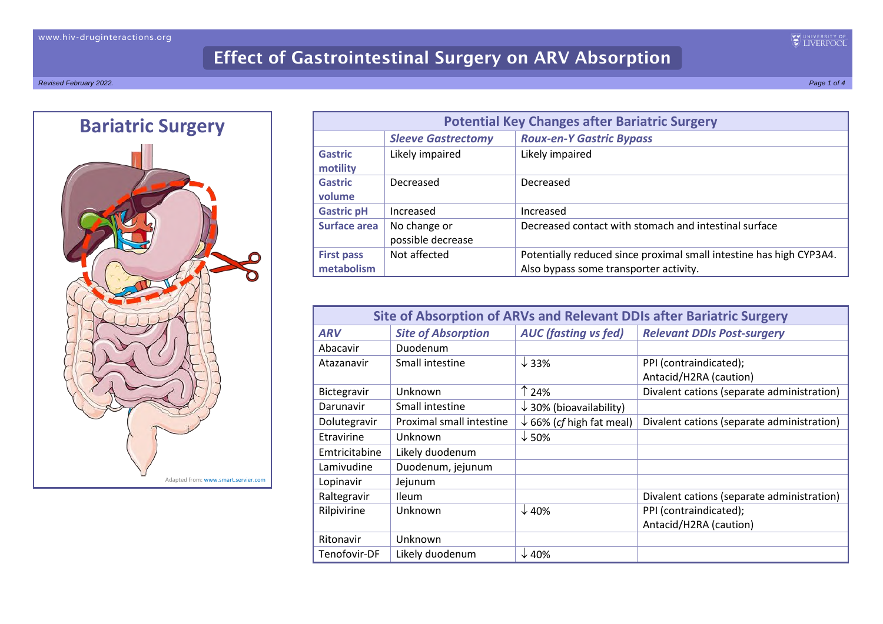

| <b>Potential Key Changes after Bariatric Surgery</b> |                                   |                                                                                                               |
|------------------------------------------------------|-----------------------------------|---------------------------------------------------------------------------------------------------------------|
|                                                      | <b>Sleeve Gastrectomy</b>         | <b>Roux-en-Y Gastric Bypass</b>                                                                               |
| <b>Gastric</b><br>motility                           | Likely impaired                   | Likely impaired                                                                                               |
| <b>Gastric</b><br>volume                             | Decreased                         | Decreased                                                                                                     |
| <b>Gastric pH</b>                                    | Increased                         | Increased                                                                                                     |
| Surface area                                         | No change or<br>possible decrease | Decreased contact with stomach and intestinal surface                                                         |
| <b>First pass</b><br>metabolism                      | Not affected                      | Potentially reduced since proximal small intestine has high CYP3A4.<br>Also bypass some transporter activity. |

| <b>Site of Absorption of ARVs and Relevant DDIs after Bariatric Surgery</b> |                           |                                     |                                            |
|-----------------------------------------------------------------------------|---------------------------|-------------------------------------|--------------------------------------------|
| <b>ARV</b>                                                                  | <b>Site of Absorption</b> | <b>AUC</b> (fasting vs fed)         | <b>Relevant DDIs Post-surgery</b>          |
| Abacavir                                                                    | Duodenum                  |                                     |                                            |
| Atazanavir                                                                  | Small intestine           | $\downarrow$ 33%                    | PPI (contraindicated);                     |
|                                                                             |                           |                                     | Antacid/H2RA (caution)                     |
| Bictegravir                                                                 | Unknown                   | ↑ 24%                               | Divalent cations (separate administration) |
| Darunavir                                                                   | Small intestine           | $\downarrow$ 30% (bioavailability)  |                                            |
| Dolutegravir                                                                | Proximal small intestine  | $\downarrow$ 66% (cf high fat meal) | Divalent cations (separate administration) |
| Etravirine                                                                  | Unknown                   | $\downarrow$ 50%                    |                                            |
| Emtricitabine                                                               | Likely duodenum           |                                     |                                            |
| Lamivudine                                                                  | Duodenum, jejunum         |                                     |                                            |
| Lopinavir                                                                   | Jejunum                   |                                     |                                            |
| Raltegravir                                                                 | <b>Ileum</b>              |                                     | Divalent cations (separate administration) |
| Rilpivirine                                                                 | Unknown                   | $\downarrow$ 40%                    | PPI (contraindicated);                     |
|                                                                             |                           |                                     | Antacid/H2RA (caution)                     |
| Ritonavir                                                                   | Unknown                   |                                     |                                            |
| Tenofovir-DF                                                                | Likely duodenum           | $\downarrow$ 40%                    |                                            |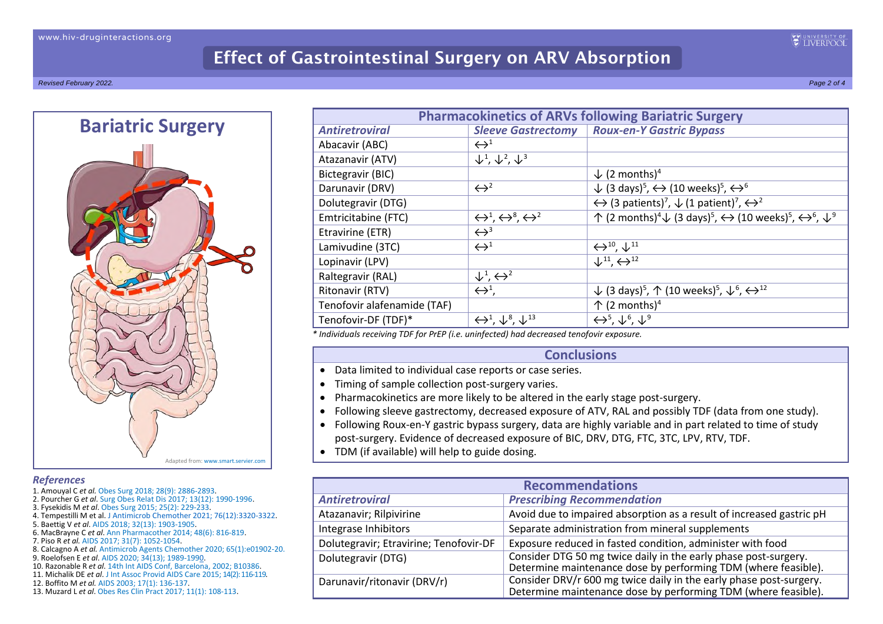*Revised February 2022. Page 2 of 4*



## *References*

- 1. Amouyal C *et al.* [Obes Surg 2018; 28\(9\): 2886-2893.](https://pubmed.ncbi.nlm.nih.gov/29781044/)
- 2. Pourcher G *et al*. [Surg Obes Relat Dis 2017; 13\(12\): 1990-1996.](https://pubmed.ncbi.nlm.nih.gov/29079381/)
- 3. Fysekidis M *et al*. [Obes Surg 2015; 25\(2\): 229-233.](https://pubmed.ncbi.nlm.nih.gov/24968746/)
- 4. Tempestilli M et al[. J Antimicrob Chemother 2021; 76\(12\):3320-3322.](https://pubmed.ncbi.nlm.nih.gov/34450632/)
- 5. Baettig V *et al*. [AIDS 2018; 32\(13\): 1903-1905.](https://pubmed.ncbi.nlm.nih.gov/30045058/)
- 6. MacBrayne C *et al*. [Ann Pharmacother 2014; 48\(6\): 816-819.](https://pubmed.ncbi.nlm.nih.gov/24615629/)
- 7. Piso R *et al.* [AIDS 2017; 31\(7\): 1052-1054.](https://pubmed.ncbi.nlm.nih.gov/28350583/)
- 8. Calcagno A *et al.* [Antimicrob Agents Chemother 2020; 65\(1\):e01902-20](https://pubmed.ncbi.nlm.nih.gov/33106270/).
- 9. Roelofsen E *et al*. [AIDS 2020; 34\(13\); 1989-1990.](https://journals.lww.com/aidsonline/Citation/2020/11010/Pharmacokinetics_of_tenofovir_disoproxyl.20.aspx)
- 10. Razonable R *et al*. [14th Int AIDS Conf, Barcelona, 2002; B10386.](http://www.abstract-archive.org/Abstract/Share/29725)
- 11. Michalik DE *et al*. [J Int Assoc Provid AIDS Care 2015;](https://pubmed.ncbi.nlm.nih.gov/25361558/) 14(2): 116-119.
- 12. Boffito M *et al.* [AIDS 2003; 17\(1\): 136-137.](https://pubmed.ncbi.nlm.nih.gov/12478084/)
- 13. Muzard L *et al*. [Obes Res Clin Pract 2017; 11\(1\):](https://pubmed.ncbi.nlm.nih.gov/27350536/) 108-113.

|                             |                                                                 | <b>Pharmacokinetics of ARVs following Bariatric Surgery</b>                                                                                                           |
|-----------------------------|-----------------------------------------------------------------|-----------------------------------------------------------------------------------------------------------------------------------------------------------------------|
| <b>Antiretroviral</b>       | <b>Sleeve Gastrectomy</b>                                       | <b>Roux-en-Y Gastric Bypass</b>                                                                                                                                       |
| Abacavir (ABC)              | $\leftrightarrow$ <sup>1</sup>                                  |                                                                                                                                                                       |
| Atazanavir (ATV)            | $\downarrow^1$ , $\downarrow^2$ , $\downarrow^3$                |                                                                                                                                                                       |
| Bictegravir (BIC)           |                                                                 | $\downarrow$ (2 months) <sup>4</sup>                                                                                                                                  |
| Darunavir (DRV)             | $\leftrightarrow^2$                                             | $\downarrow$ (3 days) <sup>5</sup> , $\leftrightarrow$ (10 weeks) <sup>5</sup> , $\leftrightarrow$ <sup>6</sup>                                                       |
| Dolutegravir (DTG)          |                                                                 | $\leftrightarrow$ (3 patients) <sup>7</sup> , $\downarrow$ (1 patient) <sup>7</sup> , $\leftrightarrow$ <sup>2</sup>                                                  |
| Emtricitabine (FTC)         | $\leftrightarrow^1$ , $\leftrightarrow^8$ , $\leftrightarrow^2$ | ↑ (2 months) <sup>4</sup> $\downarrow$ (3 days) <sup>5</sup> , $\leftrightarrow$ (10 weeks) <sup>5</sup> , $\leftrightarrow$ <sup>6</sup> , $\downarrow$ <sup>9</sup> |
| Etravirine (ETR)            | $\leftrightarrow$ <sup>3</sup>                                  |                                                                                                                                                                       |
| Lamivudine (3TC)            | $\leftrightarrow$ <sup>1</sup>                                  | $\leftrightarrow$ <sup>10</sup> , $\downarrow$ <sup>11</sup>                                                                                                          |
| Lopinavir (LPV)             |                                                                 | $\downarrow$ <sup>11</sup> , $\leftrightarrow$ <sup>12</sup>                                                                                                          |
| Raltegravir (RAL)           | $\downarrow^1$ , $\leftrightarrow^2$                            |                                                                                                                                                                       |
| Ritonavir (RTV)             | $\leftrightarrow^1$ ,                                           | ↓ (3 days) <sup>5</sup> , ↑ (10 weeks) <sup>5</sup> , ↓ <sup>6</sup> , $\leftrightarrow$ <sup>12</sup>                                                                |
| Tenofovir alafenamide (TAF) |                                                                 | $\uparrow$ (2 months) <sup>4</sup>                                                                                                                                    |
| Tenofovir-DF (TDF)*         | $\leftrightarrow^1$ , $\downarrow^8$ , $\downarrow^{13}$        | $\leftrightarrow^5, \downarrow^6, \downarrow^9$                                                                                                                       |

*\* Individuals receiving TDF for PrEP (i.e. uninfected) had decreased tenofovir exposure.*

## **Conclusions**

- Data limited to individual case reports or case series.
- Timing of sample collection post-surgery varies.
- Pharmacokinetics are more likely to be altered in the early stage post-surgery.
- Following sleeve gastrectomy, decreased exposure of ATV, RAL and possibly TDF (data from one study).
- Following Roux-en-Y gastric bypass surgery, data are highly variable and in part related to time of study post-surgery. Evidence of decreased exposure of BIC, DRV, DTG, FTC, 3TC, LPV, RTV, TDF.
- TDM (if available) will help to guide dosing.

| <b>Recommendations</b>                 |                                                                                                                                      |  |
|----------------------------------------|--------------------------------------------------------------------------------------------------------------------------------------|--|
| <b>Antiretroviral</b>                  | <b>Prescribing Recommendation</b>                                                                                                    |  |
| Atazanavir; Rilpivirine                | Avoid due to impaired absorption as a result of increased gastric pH                                                                 |  |
| Integrase Inhibitors                   | Separate administration from mineral supplements                                                                                     |  |
| Dolutegravir; Etravirine; Tenofovir-DF | Exposure reduced in fasted condition, administer with food                                                                           |  |
| Dolutegravir (DTG)                     | Consider DTG 50 mg twice daily in the early phase post-surgery.<br>Determine maintenance dose by performing TDM (where feasible).    |  |
| Darunavir/ritonavir (DRV/r)            | Consider DRV/r 600 mg twice daily in the early phase post-surgery.<br>Determine maintenance dose by performing TDM (where feasible). |  |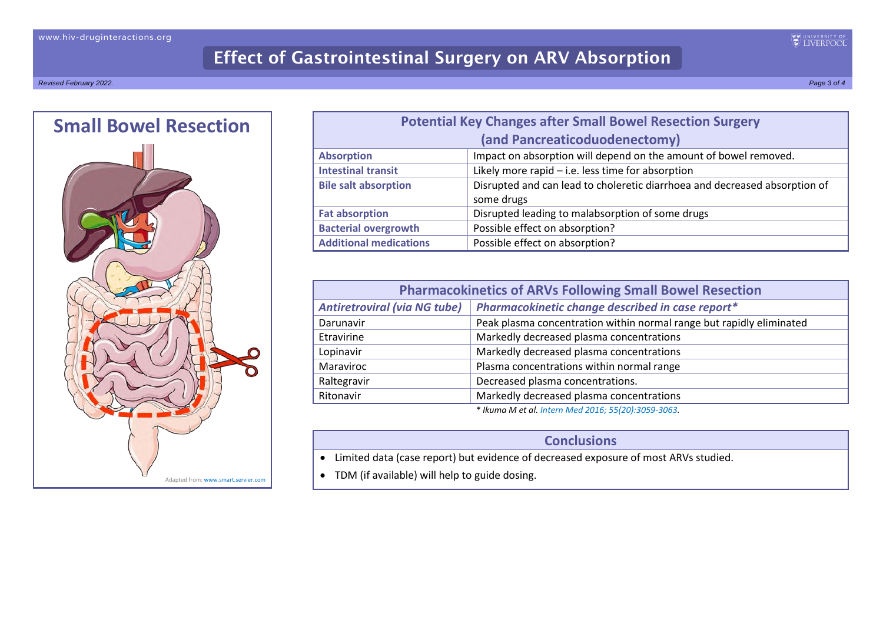*Revised February 2022. Page 3 of 4*



| <b>Potential Key Changes after Small Bowel Resection Surgery</b> |                                                                                          |  |
|------------------------------------------------------------------|------------------------------------------------------------------------------------------|--|
|                                                                  | (and Pancreaticoduodenectomy)                                                            |  |
| <b>Absorption</b>                                                | Impact on absorption will depend on the amount of bowel removed.                         |  |
| <b>Intestinal transit</b>                                        | Likely more rapid $-$ i.e. less time for absorption                                      |  |
| <b>Bile salt absorption</b>                                      | Disrupted and can lead to choleretic diarrhoea and decreased absorption of<br>some drugs |  |
| <b>Fat absorption</b>                                            | Disrupted leading to malabsorption of some drugs                                         |  |
| <b>Bacterial overgrowth</b>                                      | Possible effect on absorption?                                                           |  |
| <b>Additional medications</b>                                    | Possible effect on absorption?                                                           |  |

| <b>Pharmacokinetics of ARVs Following Small Bowel Resection</b> |                                                                      |  |
|-----------------------------------------------------------------|----------------------------------------------------------------------|--|
| <b>Antiretroviral (via NG tube)</b>                             | Pharmacokinetic change described in case report*                     |  |
| Darunavir                                                       | Peak plasma concentration within normal range but rapidly eliminated |  |
| Etravirine                                                      | Markedly decreased plasma concentrations                             |  |
| Lopinavir                                                       | Markedly decreased plasma concentrations                             |  |
| Maraviroc                                                       | Plasma concentrations within normal range                            |  |
| Raltegravir                                                     | Decreased plasma concentrations.                                     |  |
| Ritonavir                                                       | Markedly decreased plasma concentrations                             |  |
| * Ikuma M et al. Intern Med 2016: 55(20):3059-3063.             |                                                                      |  |

**Conclusions**

• Limited data (case report) but evidence of decreased exposure of most ARVs studied.

• TDM (if available) will help to guide dosing.